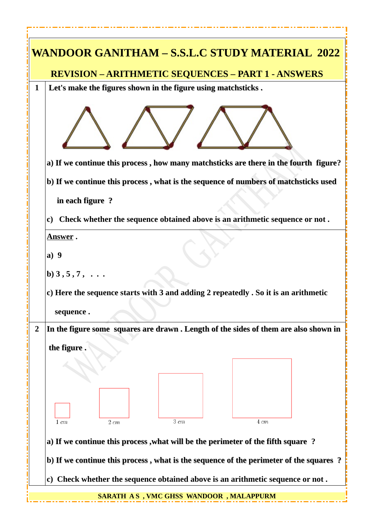| WANDOOR GANITHAM – S.S.L.C STUDY MATERIAL 2022                                                         |
|--------------------------------------------------------------------------------------------------------|
| <b>REVISION - ARITHMETIC SEQUENCES - PART 1 - ANSWERS</b>                                              |
| Let's make the figures shown in the figure using matchsticks.<br>1                                     |
|                                                                                                        |
| a) If we continue this process, how many matchsticks are there in the fourth figure?                   |
| b) If we continue this process, what is the sequence of numbers of matchsticks used                    |
| in each figure?                                                                                        |
| c) Check whether the sequence obtained above is an arithmetic sequence or not.                         |
| <u>Answer</u> .                                                                                        |
| a) 9                                                                                                   |
| b) 3, 5, 7,                                                                                            |
| c) Here the sequence starts with 3 and adding 2 repeatedly . So it is an arithmetic<br>sequence.       |
| $\overline{2}$<br>In the figure some squares are drawn . Length of the sides of them are also shown in |
|                                                                                                        |
| the figure.                                                                                            |
|                                                                                                        |
|                                                                                                        |
|                                                                                                        |
|                                                                                                        |
| $3 \; cm$<br>$2 \; cm$<br>$4 \, cm$<br>$1 \, cm$                                                       |
| a) If we continue this process, what will be the perimeter of the fifth square ?                       |
| b) If we continue this process, what is the sequence of the perimeter of the squares?                  |
| c) Check whether the sequence obtained above is an arithmetic sequence or not.                         |
| <b>SARATH AS, VMC GHSS WANDOOR, MALAPPURM</b>                                                          |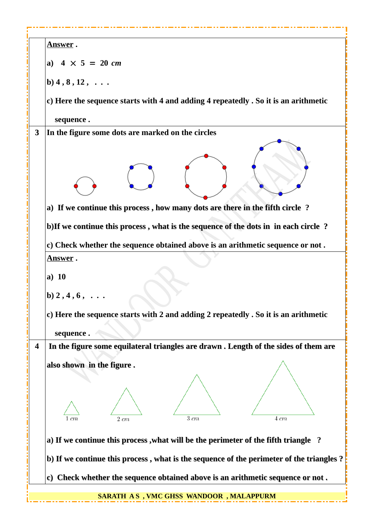| <u>Answer</u> .                                                                           |
|-------------------------------------------------------------------------------------------|
| a) $4 \times 5 = 20$ cm                                                                   |
| b) 4, 8, 12,                                                                              |
| c) Here the sequence starts with 4 and adding 4 repeatedly . So it is an arithmetic       |
| sequence.                                                                                 |
| In the figure some dots are marked on the circles<br>3                                    |
|                                                                                           |
| a) If we continue this process, how many dots are there in the fifth circle ?             |
| b) If we continue this process, what is the sequence of the dots in in each circle?       |
| c) Check whether the sequence obtained above is an arithmetic sequence or not.            |
| <u>Answer</u> .                                                                           |
| a) $10$                                                                                   |
|                                                                                           |
| $b) 2, 4, 6, \ldots$                                                                      |
| c) Here the sequence starts with 2 and adding 2 repeatedly . So it is an arithmetic       |
| sequence.                                                                                 |
| In the figure some equilateral triangles are drawn . Length of the sides of them are<br>4 |
|                                                                                           |
| also shown in the figure.                                                                 |
|                                                                                           |
|                                                                                           |
|                                                                                           |
| $3 \, cm$<br>$4 \, cm$<br>$2 \; cm$<br>1 cm                                               |
| a) If we continue this process, what will be the perimeter of the fifth triangle ?        |
| b) If we continue this process, what is the sequence of the perimeter of the triangles?   |
| c) Check whether the sequence obtained above is an arithmetic sequence or not.            |
| SARATH AS, VMC GHSS WANDOOR, MALAPPURM                                                    |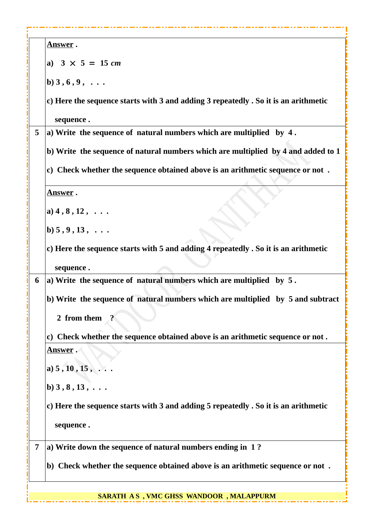|   | <u>Answer</u> .                                                                     |
|---|-------------------------------------------------------------------------------------|
|   | a) $3 \times 5 = 15$ cm                                                             |
|   | $b) 3, 6, 9, \ldots$                                                                |
|   | c) Here the sequence starts with 3 and adding 3 repeatedly . So it is an arithmetic |
|   | sequence.                                                                           |
| 5 | a) Write the sequence of natural numbers which are multiplied by 4.                 |
|   | b) Write the sequence of natural numbers which are multiplied by 4 and added to 1   |
|   | c) Check whether the sequence obtained above is an arithmetic sequence or not.      |
|   | <b>Answer</b> .                                                                     |
|   | a) $4, 8, 12, $                                                                     |
|   | b) 5, 9, 13,                                                                        |
|   | c) Here the sequence starts with 5 and adding 4 repeatedly . So it is an arithmetic |
|   | sequence.                                                                           |
| 6 | a) Write the sequence of natural numbers which are multiplied by $5$ .              |
|   | b) Write the sequence of natural numbers which are multiplied by 5 and subtract     |
|   | 2 from them                                                                         |
|   | c) Check whether the sequence obtained above is an arithmetic sequence or not.      |
|   | <u>Answer</u> .                                                                     |
|   | a) $5, 10, 15, $                                                                    |
|   | $b) 3, 8, 13, \ldots$                                                               |
|   | c) Here the sequence starts with 3 and adding 5 repeatedly . So it is an arithmetic |
|   | sequence.                                                                           |
|   |                                                                                     |
| 7 | a) Write down the sequence of natural numbers ending in 1?                          |
|   | b) Check whether the sequence obtained above is an arithmetic sequence or not.      |
|   |                                                                                     |

**SARATH A S , VMC GHSS WANDOOR , MALAPPURM**

ī.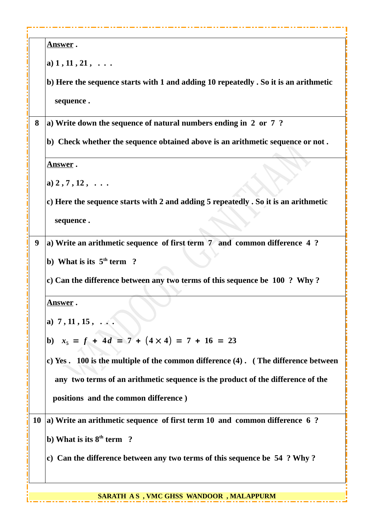| a) $1, 11, 21, \ldots$<br>sequence.<br>a) Write down the sequence of natural numbers ending in 2 or 7?<br>8<br><u>Answer</u> .<br>a) $2, 7, 12, $<br>sequence.<br>a) Write an arithmetic sequence of first term 7 and common difference 4 ?<br>9<br>b) What is its $5th$ term ?<br>c) Can the difference between any two terms of this sequence be 100 ? Why?<br><u>Answer</u> .<br>a) $7, 11, 15, $<br>b) $x_5 = f + 4d = 7 + (4 \times 4) = 7 + 16 = 23$<br>positions and the common difference)<br>10 a) Write an arithmetic sequence of first term 10 and common difference 6 ?<br>b) What is its $8th$ term ?<br>c) Can the difference between any two terms of this sequence be 54 ? Why? | <u>Answer</u> .                                                                      |
|-------------------------------------------------------------------------------------------------------------------------------------------------------------------------------------------------------------------------------------------------------------------------------------------------------------------------------------------------------------------------------------------------------------------------------------------------------------------------------------------------------------------------------------------------------------------------------------------------------------------------------------------------------------------------------------------------|--------------------------------------------------------------------------------------|
|                                                                                                                                                                                                                                                                                                                                                                                                                                                                                                                                                                                                                                                                                                 |                                                                                      |
|                                                                                                                                                                                                                                                                                                                                                                                                                                                                                                                                                                                                                                                                                                 | b) Here the sequence starts with 1 and adding 10 repeatedly . So it is an arithmetic |
|                                                                                                                                                                                                                                                                                                                                                                                                                                                                                                                                                                                                                                                                                                 |                                                                                      |
|                                                                                                                                                                                                                                                                                                                                                                                                                                                                                                                                                                                                                                                                                                 |                                                                                      |
|                                                                                                                                                                                                                                                                                                                                                                                                                                                                                                                                                                                                                                                                                                 | b) Check whether the sequence obtained above is an arithmetic sequence or not.       |
|                                                                                                                                                                                                                                                                                                                                                                                                                                                                                                                                                                                                                                                                                                 |                                                                                      |
|                                                                                                                                                                                                                                                                                                                                                                                                                                                                                                                                                                                                                                                                                                 |                                                                                      |
|                                                                                                                                                                                                                                                                                                                                                                                                                                                                                                                                                                                                                                                                                                 | c) Here the sequence starts with 2 and adding 5 repeatedly . So it is an arithmetic  |
|                                                                                                                                                                                                                                                                                                                                                                                                                                                                                                                                                                                                                                                                                                 |                                                                                      |
|                                                                                                                                                                                                                                                                                                                                                                                                                                                                                                                                                                                                                                                                                                 |                                                                                      |
|                                                                                                                                                                                                                                                                                                                                                                                                                                                                                                                                                                                                                                                                                                 |                                                                                      |
|                                                                                                                                                                                                                                                                                                                                                                                                                                                                                                                                                                                                                                                                                                 |                                                                                      |
|                                                                                                                                                                                                                                                                                                                                                                                                                                                                                                                                                                                                                                                                                                 |                                                                                      |
|                                                                                                                                                                                                                                                                                                                                                                                                                                                                                                                                                                                                                                                                                                 |                                                                                      |
|                                                                                                                                                                                                                                                                                                                                                                                                                                                                                                                                                                                                                                                                                                 |                                                                                      |
|                                                                                                                                                                                                                                                                                                                                                                                                                                                                                                                                                                                                                                                                                                 | c) Yes . 100 is the multiple of the common difference (4) . (The difference between  |
|                                                                                                                                                                                                                                                                                                                                                                                                                                                                                                                                                                                                                                                                                                 | any two terms of an arithmetic sequence is the product of the difference of the      |
|                                                                                                                                                                                                                                                                                                                                                                                                                                                                                                                                                                                                                                                                                                 |                                                                                      |
|                                                                                                                                                                                                                                                                                                                                                                                                                                                                                                                                                                                                                                                                                                 |                                                                                      |
|                                                                                                                                                                                                                                                                                                                                                                                                                                                                                                                                                                                                                                                                                                 |                                                                                      |
|                                                                                                                                                                                                                                                                                                                                                                                                                                                                                                                                                                                                                                                                                                 |                                                                                      |
|                                                                                                                                                                                                                                                                                                                                                                                                                                                                                                                                                                                                                                                                                                 | <b>SARATH AS, VMC GHSS WANDOOR, MALAPPURM</b>                                        |

**A** H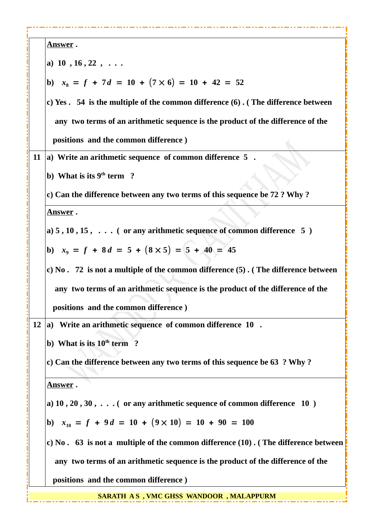| Answer.                                                                                   |
|-------------------------------------------------------------------------------------------|
| a) $10, 16, 22, \ldots$                                                                   |
| b) $x_8 = f + 7d = 10 + (7 \times 6) = 10 + 42 = 52$                                      |
| c) Yes . 54 is the multiple of the common difference (6). (The difference between         |
| any two terms of an arithmetic sequence is the product of the difference of the           |
| positions and the common difference)                                                      |
| 11 (a) Write an arithmetic sequence of common difference $5$ .                            |
| b) What is its $9th$ term ?                                                               |
| c) Can the difference between any two terms of this sequence be 72 ? Why ?                |
| <b>Answer</b> .                                                                           |
| a) $5, 10, 15, \ldots$ ( or any arithmetic sequence of common difference $5$ )            |
| b) $x_9 = f + 8d = 5 + (8 \times 5) = 5 + 40 = 45$                                        |
| c) No. 72 is not a multiple of the common difference (5). (The difference between         |
| any two terms of an arithmetic sequence is the product of the difference of the           |
| positions and the common difference)                                                      |
| 12 (a) Write an arithmetic sequence of common difference $10$ .                           |
| b) What is its $10th$ term ?                                                              |
| c) Can the difference between any two terms of this sequence be 63 ? Why ?                |
| <b>Answer</b> .                                                                           |
| a) $10$ , $20$ , $30$ , $\ldots$ ( or any arithmetic sequence of common difference $10$ ) |
| b) $x_{10} = f + 9d = 10 + (9 \times 10) = 10 + 90 = 100$                                 |
| c) No. 63 is not a multiple of the common difference (10). (The difference between        |
| any two terms of an arithmetic sequence is the product of the difference of the           |
| positions and the common difference)                                                      |
| <b>SARATH AS, VMC GHSS WANDOOR, MALAPPURM</b>                                             |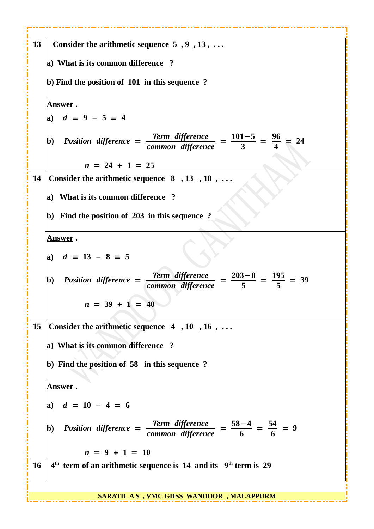| 13        | Consider the arithmetic sequence $5, 9, 13, \ldots$                                                                                               |
|-----------|---------------------------------------------------------------------------------------------------------------------------------------------------|
|           | a) What is its common difference ?                                                                                                                |
|           | b) Find the position of 101 in this sequence?                                                                                                     |
|           | <u>Answer</u> .                                                                                                                                   |
|           | a) $d = 9 - 5 = 4$                                                                                                                                |
|           | b) Position difference = $\frac{\text{Term difference}}{\text{common difference}} = \frac{101-5}{3} = \frac{96}{4} = 24$<br>common difference     |
|           | $n = 24 + 1 = 25$                                                                                                                                 |
| 14        | Consider the arithmetic sequence $8, 13, 18, \ldots$                                                                                              |
|           | a) What is its common difference?                                                                                                                 |
|           | b) Find the position of 203 in this sequence ?                                                                                                    |
|           | <u>Answer</u> .                                                                                                                                   |
|           | a) $d = 13 - 8 = 5$                                                                                                                               |
|           | $\frac{\text{Term difference}}{\text{common difference}} = \frac{203-8}{5} = \frac{195}{5} = 39$<br>b) Position difference =<br>common difference |
|           | $n = 39 + 1 = 40$                                                                                                                                 |
| 15        | Consider the arithmetic sequence $4, 10, 16, \ldots$                                                                                              |
|           | a) What is its common difference ?                                                                                                                |
|           | b) Find the position of 58 in this sequence ?                                                                                                     |
|           |                                                                                                                                                   |
|           | Answer.                                                                                                                                           |
|           | a) $d = 10 - 4 = 6$                                                                                                                               |
|           | $\frac{\text{Term difference}}{\text{common difference}} = \frac{58-4}{6} = \frac{54}{6} = 9$<br><b>b)</b> Position difference =                  |
|           | $n = 9 + 1 = 10$                                                                                                                                  |
| <b>16</b> | $4th$ term of an arithmetic sequence is 14 and its $9th$ term is 29                                                                               |
|           | SARATH AS, VMC GHSS WANDOOR, MALAPPURM                                                                                                            |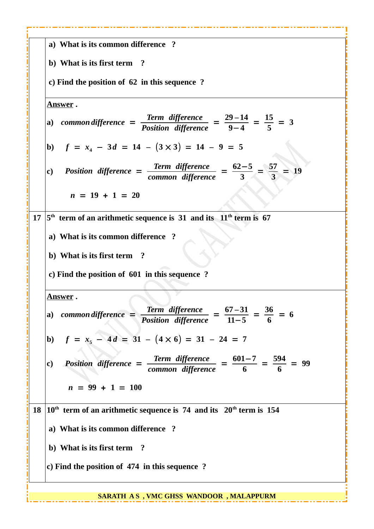|    | a) What is its common difference ?                                                                                           |
|----|------------------------------------------------------------------------------------------------------------------------------|
|    | b) What is its first term ?                                                                                                  |
|    | c) Find the position of 62 in this sequence?                                                                                 |
|    | <u>Answer</u> .                                                                                                              |
|    | a) common difference = $\frac{\text{Term difference}}{\text{Position difference}} = \frac{29-14}{9-4} = \frac{15}{5} = 3$    |
|    | b) $f = x_4 - 3d = 14 - (3 \times 3) = 14 - 9 = 5$                                                                           |
|    | Position difference = $\frac{\text{Term difference}}{\text{common difference}} = \frac{62-5}{3} = \frac{57}{3} = 19$<br>c)   |
|    | $n = 19 + 1 = 20$                                                                                                            |
| 17 | $5th$ term of an arithmetic sequence is 31 and its $11th$ term is 67                                                         |
|    | a) What is its common difference ?                                                                                           |
|    | b) What is its first term ?                                                                                                  |
|    | c) Find the position of 601 in this sequence ?                                                                               |
|    | <u>Answer</u> .                                                                                                              |
|    | a) common difference = $\frac{\text{Term difference}}{\text{Position difference}} = \frac{67-31}{11-5} = \frac{36}{6} = 6$   |
|    | b) $f = x_5 - 4d = 31 - (4 \times 6) = 31 - 24 = 7$                                                                          |
|    | Position difference = $\frac{\text{Term difference}}{\text{common difference}} = \frac{601-7}{6} = \frac{594}{6} = 99$<br>c) |
|    | $n = 99 + 1 = 100$                                                                                                           |
|    | 18 $10th$ term of an arithmetic sequence is 74 and its 20 <sup>th</sup> term is 154                                          |
|    | a) What is its common difference ?                                                                                           |
|    | b) What is its first term ?                                                                                                  |
|    | c) Find the position of 474 in this sequence?                                                                                |
|    |                                                                                                                              |

**SARATH A S , VMC GHSS WANDOOR , MALAPPURM**

П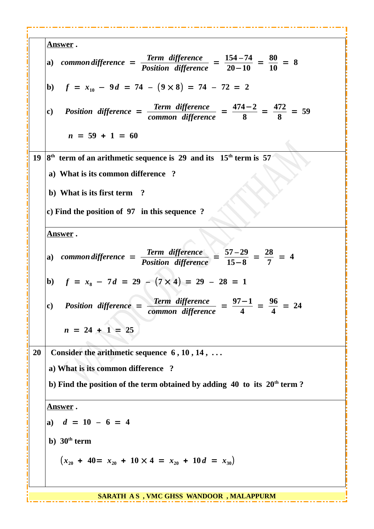|    | <u>Answer</u> .                                                                                                                                             |
|----|-------------------------------------------------------------------------------------------------------------------------------------------------------------|
|    | a) common difference = $\frac{\text{Term difference}}{\text{Position difference}} = \frac{154-74}{20-10} = \frac{80}{10} = 8$                               |
|    | b) $f = x_{10} - 9d = 74 - (9 \times 8) = 74 - 72 = 2$                                                                                                      |
|    | c) Position difference = $\frac{\text{Term difference}}{\text{common difference}} = \frac{474-2}{8} = \frac{472}{8} = 59$                                   |
|    | $n = 59 + 1 = 60$                                                                                                                                           |
|    | 19 $ 8th$ term of an arithmetic sequence is 29 and its 15 <sup>th</sup> term is 57                                                                          |
|    | a) What is its common difference?                                                                                                                           |
|    | b) What is its first term ?                                                                                                                                 |
|    | c) Find the position of 97 in this sequence?                                                                                                                |
|    | <u>Answer</u> .                                                                                                                                             |
|    | a) common difference = $\frac{\text{Term difference}}{\text{Position difference}} = \frac{57-29}{15-8} = \frac{28}{7} = 4$                                  |
|    | b) $f = x_8 - 7d = 29 - (7 \times 4) = 29 - 28 = 1$                                                                                                         |
|    | Position difference = $\frac{\text{Term difference}}{\text{common difference}} = \frac{97-1}{4} = \frac{96}{4} = 24$<br>$\mathbf{c}$ )<br>common difference |
|    | $n = 24 + 1 = 25$                                                                                                                                           |
| 20 | Consider the arithmetic sequence $6, 10, 14, $                                                                                                              |
|    | a) What is its common difference ?                                                                                                                          |
|    | b) Find the position of the term obtained by adding 40 to its 20 <sup>th</sup> term?                                                                        |
|    | <u>Answer</u> .                                                                                                                                             |
|    | a) $d = 10 - 6 = 4$                                                                                                                                         |
|    | b) $30th$ term                                                                                                                                              |
|    | $(x_{20} + 40 = x_{20} + 10 \times 4 = x_{20} + 10 d = x_{30})$                                                                                             |
|    |                                                                                                                                                             |
|    | <b>SARATH AS, VMC GHSS WANDOOR, MALAPPURM</b>                                                                                                               |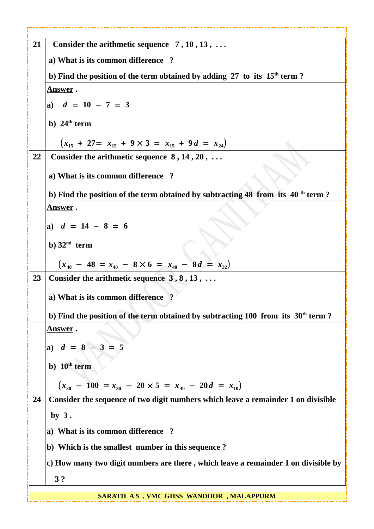| 21 | Consider the arithmetic sequence $7, 10, 13, $                                               |
|----|----------------------------------------------------------------------------------------------|
|    | a) What is its common difference ?                                                           |
|    | b) Find the position of the term obtained by adding $27$ to its $15th$ term ?                |
|    | <u>Answer</u> .                                                                              |
|    | a) $d = 10 - 7 = 3$                                                                          |
|    | b) $24th$ term                                                                               |
|    | $(x_{15} + 27) = x_{15} + 9 \times 3 = x_{15} + 9d = x_{24}$                                 |
| 22 | Consider the arithmetic sequence $8, 14, 20, \ldots$                                         |
|    | a) What is its common difference ?                                                           |
|    | b) Find the position of the term obtained by subtracting 48 from its 40 <sup>th</sup> term?  |
|    | <u>Answer</u> .                                                                              |
|    | a) $d = 14 - 8 = 6$                                                                          |
|    | b) $32nd$ term                                                                               |
|    | $(x_{40} - 48 = x_{40} - 8 \times 6 = x_{40} - 8d = x_{32})$                                 |
| 23 | Consider the arithmetic sequence $3, 8, 13, \ldots$                                          |
|    | a) What is its common difference ?                                                           |
|    | b) Find the position of the term obtained by subtracting 100 from its 30 <sup>th</sup> term? |
|    | <u>Answer</u> .                                                                              |
|    | a) $d = 8 - 3 = 5$                                                                           |
|    | b) $10th$ term                                                                               |
|    |                                                                                              |
|    | $(x_{30} - 100) = x_{30} - 20 \times 5 = x_{30} - 20d = x_{10})$                             |
| 24 | Consider the sequence of two digit numbers which leave a remainder 1 on divisible            |
|    | by $3$ .                                                                                     |
|    | a) What is its common difference ?                                                           |
|    | b) Which is the smallest number in this sequence?                                            |
|    | c) How many two digit numbers are there, which leave a remainder 1 on divisible by           |
|    | 3?                                                                                           |
|    | <b>SARATH AS, VMC GHSS WANDOOR, MALAPPURM</b>                                                |

----

----

. . . . - - - a a s

**Service** 

. . .

- - - -

---

----

----

**Service** - - - - - -

------- - - -

- - -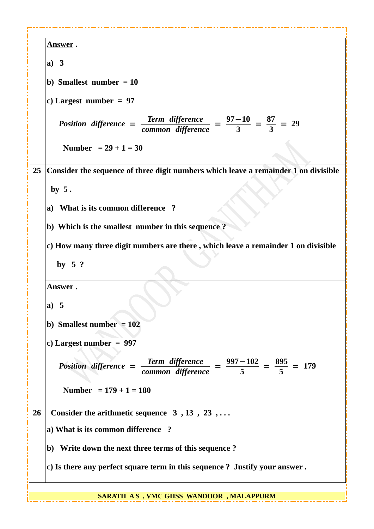| <u>Answer</u> .                                                                                                           |
|---------------------------------------------------------------------------------------------------------------------------|
| a) $3$                                                                                                                    |
| b) Smallest number $= 10$                                                                                                 |
| c) Largest number = $97$                                                                                                  |
|                                                                                                                           |
| Position difference = $\frac{\text{Term difference}}{\text{common difference}} = \frac{97-10}{3} = \frac{87}{3} = 29$     |
| Number = $29 + 1 = 30$                                                                                                    |
| Consider the sequence of three digit numbers which leave a remainder 1 on divisible<br>25                                 |
| by $5.$                                                                                                                   |
| a) What is its common difference?                                                                                         |
| b) Which is the smallest number in this sequence?                                                                         |
| c) How many three digit numbers are there, which leave a remainder 1 on divisible                                         |
| by $5$ ?                                                                                                                  |
| <u>Answer</u> .                                                                                                           |
| a) $5$                                                                                                                    |
| b) Smallest number $= 102$                                                                                                |
| c) Largest number = $997$                                                                                                 |
|                                                                                                                           |
| Position difference = $\frac{\text{Term difference}}{\text{common difference}} = \frac{997-102}{5} = \frac{895}{5} = 179$ |
| Number = $179 + 1 = 180$                                                                                                  |
| 26<br>Consider the arithmetic sequence $3, 13, 23, \ldots$                                                                |
| a) What is its common difference ?                                                                                        |
| b) Write down the next three terms of this sequence?                                                                      |
| c) Is there any perfect square term in this sequence ? Justify your answer.                                               |
|                                                                                                                           |
| <b>SARATH AS, VMC GHSS WANDOOR, MALAPPURM</b>                                                                             |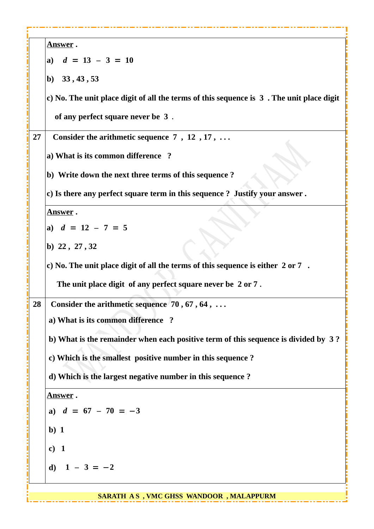| <u>Answer</u> .                                                                          |  |
|------------------------------------------------------------------------------------------|--|
| a) $d = 13 - 3 = 10$                                                                     |  |
| b) $33, 43, 53$                                                                          |  |
| c) No. The unit place digit of all the terms of this sequence is 3. The unit place digit |  |
| of any perfect square never be 3.                                                        |  |
| 27<br>Consider the arithmetic sequence $7, 12, 17, \ldots$                               |  |
| a) What is its common difference ?                                                       |  |
| b) Write down the next three terms of this sequence?                                     |  |
| c) Is there any perfect square term in this sequence ? Justify your answer.              |  |
| <u>Answer</u> .                                                                          |  |
| a) $d = 12 - 7 = 5$                                                                      |  |
| b) $22, 27, 32$                                                                          |  |
| c) No. The unit place digit of all the terms of this sequence is either 2 or 7.          |  |
| The unit place digit of any perfect square never be 2 or 7.                              |  |
| Consider the arithmetic sequence $70, 67, 64, $<br>28                                    |  |
| a) What is its common difference ?                                                       |  |
| b) What is the remainder when each positive term of this sequence is divided by 3?       |  |
| c) Which is the smallest positive number in this sequence ?                              |  |
| d) Which is the largest negative number in this sequence?                                |  |
| <u>Answer</u> .                                                                          |  |
| a) $d = 67 - 70 = -3$                                                                    |  |
| $b)$ 1                                                                                   |  |
| c) 1                                                                                     |  |
| d) $1 - 3 = -2$                                                                          |  |
|                                                                                          |  |
| SARATH AS, VMC GHSS WANDOOR, MALAPPURM                                                   |  |

i.....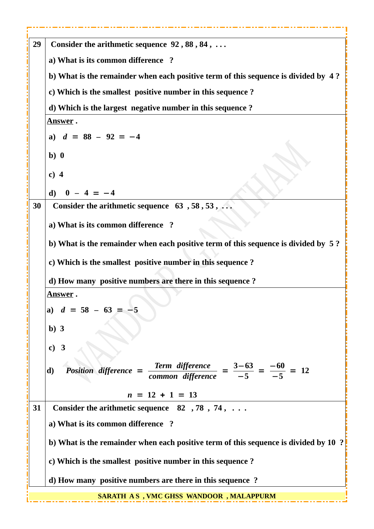| 29 | Consider the arithmetic sequence 92, 88, 84,                                                                                  |
|----|-------------------------------------------------------------------------------------------------------------------------------|
|    | a) What is its common difference ?                                                                                            |
|    | b) What is the remainder when each positive term of this sequence is divided by 4?                                            |
|    | c) Which is the smallest positive number in this sequence ?                                                                   |
|    | d) Which is the largest negative number in this sequence?                                                                     |
|    | <b>Answer</b> .                                                                                                               |
|    | a) $d = 88 - 92 = -4$                                                                                                         |
|    | b)0                                                                                                                           |
|    | $c)$ 4                                                                                                                        |
|    | $0 - 4 = -4$<br>d)                                                                                                            |
| 30 | Consider the arithmetic sequence $63, 58, 53, \ldots$                                                                         |
|    | a) What is its common difference ?                                                                                            |
|    | b) What is the remainder when each positive term of this sequence is divided by 5?                                            |
|    | c) Which is the smallest positive number in this sequence ?                                                                   |
|    | d) How many positive numbers are there in this sequence ?                                                                     |
|    | <u>Answer</u> .                                                                                                               |
|    | a) $d = 58 - 63 = 3$                                                                                                          |
|    | $b)$ 3                                                                                                                        |
|    | c) 3                                                                                                                          |
|    |                                                                                                                               |
|    | Position difference = $\frac{\text{Term difference}}{\text{common difference}} = \frac{3-63}{-5} = \frac{-60}{-5} = 12$<br>d) |
|    | $n = 12 + 1 = 13$                                                                                                             |
| 31 | Consider the arithmetic sequence $82, 78, 74, \ldots$                                                                         |
|    | a) What is its common difference ?                                                                                            |
|    | b) What is the remainder when each positive term of this sequence is divided by 10 ?                                          |
|    | c) Which is the smallest positive number in this sequence ?                                                                   |
|    | d) How many positive numbers are there in this sequence?                                                                      |
|    | <b>SARATH AS, VMC GHSS WANDOOR, MALAPPURM</b>                                                                                 |

**Service** ---- - - ----

----

-------

- - - -

----- - - ----

**Service** 

----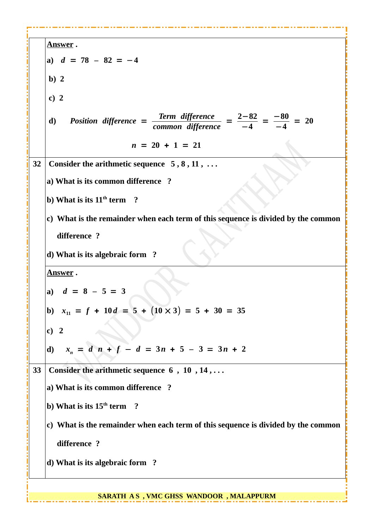**Answer . a)** *d* = **78** *–* **82** = −**4 b) 2 c) 2 d)** *Position difference* = *Term difference common difference* <sup>=</sup> **2**−**82** −**4**  $=\frac{-80}{4}$ −**4**  $= 20$  $n = 20 + 1 = 21$ **32** Consider the arithmetic sequence 5, 8, 11, ... **a) What is its common difference ? b)** What is its 11<sup>th</sup> term ? **c) What is the remainder when each term of this sequence is divided by the common difference ? d) What is its algebraic form ? Answer . a)** *d* = **8** *–* **5** = **3 b)**  $x_{11} = f + 10d = 5 + (10 \times 3) = 5 + 30 = 35$ **c) 2 d)** *x<sup>n</sup>* = *d n* + *f* − *d* = **3***n* + **5** *–* **3** = **3***n* + **2 33 Consider the arithmetic sequence 6 , 10 , 14 , . . . a) What is its common difference ? b) What is its 15th term ? c) What is the remainder when each term of this sequence is divided by the common difference ? d) What is its algebraic form ?**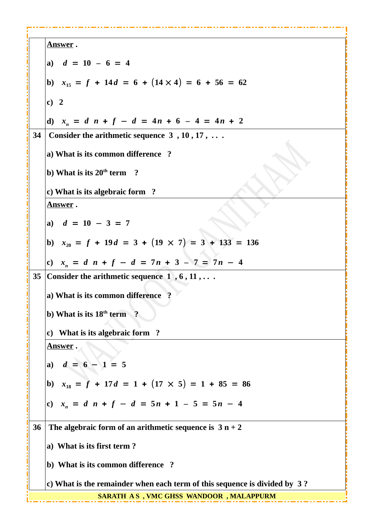|    | <u>Answer</u> .                                                           |  |
|----|---------------------------------------------------------------------------|--|
|    | a) $d = 10 - 6 = 4$                                                       |  |
|    | b) $x_{15} = f + 14d = 6 + (14 \times 4) = 6 + 56 = 62$                   |  |
|    | c) 2                                                                      |  |
|    | d) $x_n = d \, n + f - d = 4n + 6 - 4 = 4n + 2$                           |  |
| 34 | Consider the arithmetic sequence $3, 10, 17, \ldots$                      |  |
|    | a) What is its common difference ?                                        |  |
|    | b) What is its $20th$ term ?                                              |  |
|    | c) What is its algebraic form ?                                           |  |
|    | Answer.                                                                   |  |
|    | a) $d = 10 - 3 = 7$                                                       |  |
|    | b) $x_{20} = f + 19d = 3 + (19 \times 7) = 3 + 133 = 136$                 |  |
|    | c) $x_n = d \, n + f - d = 7n + 3 - 7 = 7n - 4$                           |  |
| 35 | Consider the arithmetic sequence $1, 6, 11, \ldots$                       |  |
|    | a) What is its common difference ?                                        |  |
|    | b) What is its $18th$ term ?                                              |  |
|    | What is its algebraic form ?<br>C)                                        |  |
|    | <u>Answer</u> .                                                           |  |
|    | a) $d = 6 - 1 = 5$                                                        |  |
|    | b) $x_{18} = f + 17d = 1 + (17 \times 5) = 1 + 85 = 86$                   |  |
|    | c) $x_n = d \cdot n + f - d = 5n + 1 - 5 = 5n - 4$                        |  |
| 36 | The algebraic form of an arithmetic sequence is $3 n + 2$                 |  |
|    | a) What is its first term?                                                |  |
|    | b) What is its common difference ?                                        |  |
|    | c) What is the remainder when each term of this sequence is divided by 3? |  |
|    | SARATH AS, VMC GHSS WANDOOR, MALAPPURM                                    |  |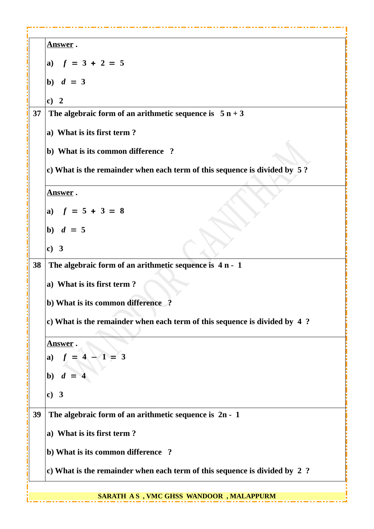| <u>Answer</u> .                                                           |
|---------------------------------------------------------------------------|
| a) $f = 3 + 2 = 5$                                                        |
| b) $d = 3$                                                                |
| c) 2                                                                      |
| The algebraic form of an arithmetic sequence is $5 n + 3$<br>37           |
| a) What is its first term?                                                |
| b) What is its common difference ?                                        |
| c) What is the remainder when each term of this sequence is divided by 5? |
| <u>Answer</u> .                                                           |
| a) $f = 5 + 3 = 8$                                                        |
| b) $d = 5$                                                                |
| c) 3                                                                      |
| The algebraic form of an arithmetic sequence is $4 n - 1$<br>38           |
| a) What is its first term?                                                |
| b) What is its common difference ?                                        |
| c) What is the remainder when each term of this sequence is divided by 4? |
| <b>Answer</b> .                                                           |
| $-1 = 3$<br>a)                                                            |
| b) $d$                                                                    |
| c) 3                                                                      |
| The algebraic form of an arithmetic sequence is $2n - 1$<br>39            |
| a) What is its first term?                                                |
| b) What is its common difference ?                                        |
| c) What is the remainder when each term of this sequence is divided by 2? |
| SARATH AS, VMC GHSS WANDOOR, MALAPPURM                                    |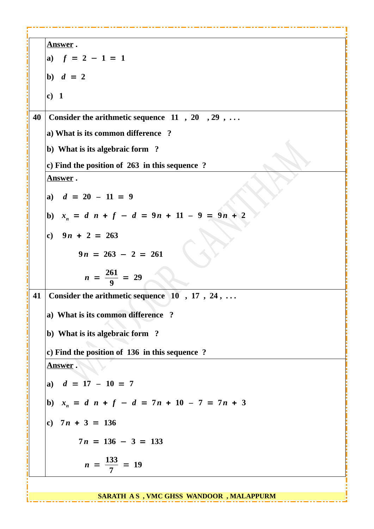**Answer . a)** *f* = **2** − **1** = **1 b)**  $d = 2$ **c) 1 40 Consider the arithmetic sequence 11 , 20 , 29 , . . . a) What is its common difference ? b) What is its algebraic form ? c) Find the position of 263 in this sequence ? Answer . a)** *d* = **20** *–* **11** = **9 b)**  $x_n = d \cdot n + f - d = 9n + 11 - 9 = 9n + 2$ **c) 9** *n* + **2** = **263**  $9n = 263 - 2 = 261$  $n = \frac{261}{9}$ **9** = **29 41 Consider the arithmetic sequence 10 , 17 , 24 , . . . a) What is its common difference ? b) What is its algebraic form ? c) Find the position of 136 in this sequence ? Answer . a)** *d* = **17** *–* **10** = **7 b)**  $x_n = d \cdot n + f - d = 7n + 10 - 7 = 7n + 3$ **c) 7** *n* + **3** = **136**  $7n = 136 - 3 = 133$  $n = \frac{133}{7}$ **7** = **19**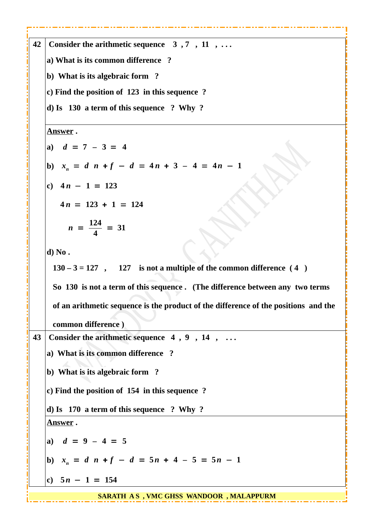**42 Consider the arithmetic sequence 3 , 7 , 11 , . . . a) What is its common difference ? b) What is its algebraic form ? c) Find the position of 123 in this sequence ? d) Is 130 a term of this sequence ? Why ? Answer . a)** *d* = **7** *–* **3** = **4 b)**  $x_n = d \cdot n + f - d = 4n + 3 - 4 = 4n - 1$ **c) 4** *n* − **1** = **123**  $4n = 123 + 1 = 124$  $n = \frac{124}{4}$ **4** = **31 d) No . 130 – 3 = 127 , 127 is not a multiple of the common difference ( 4 ) So 130 is not a term of this sequence . (The difference between any two terms of an arithmetic sequence is the product of the difference of the positions and the common difference ) 43 Consider the arithmetic sequence 4 , 9 , 14 , . . . a) What is its common difference ? b) What is its algebraic form ? c) Find the position of 154 in this sequence ? d) Is 170 a term of this sequence ? Why ? Answer . a)** *d* = **9** *–* **4** = **5 b)**  $x_n = d \cdot n + f - d = 5n + 4 - 5 = 5n - 1$ **c) 5** *n* − **1** = **154 SARATH A S , VMC GHSS WANDOOR , MALAPPURM**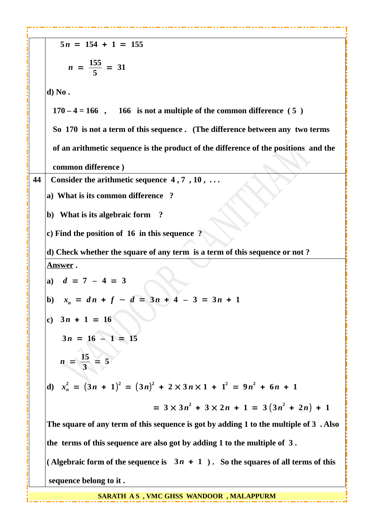|    | $5n = 154 + 1 = 155$                                                                  |
|----|---------------------------------------------------------------------------------------|
|    | $n = \frac{155}{5} = 31$                                                              |
|    | d) No.                                                                                |
|    | $170 - 4 = 166$ , 166 is not a multiple of the common difference (5)                  |
|    | So 170 is not a term of this sequence. (The difference between any two terms          |
|    | of an arithmetic sequence is the product of the difference of the positions and the   |
|    | common difference)                                                                    |
| 44 | Consider the arithmetic sequence $4, 7, 10, \ldots$                                   |
|    | a) What is its common difference ?                                                    |
|    | b) What is its algebraic form ?                                                       |
|    | c) Find the position of $16$ in this sequence ?                                       |
|    | d) Check whether the square of any term is a term of this sequence or not?            |
|    | <u>Answer</u> .                                                                       |
|    | a) $d = 7 - 4 = 3$                                                                    |
|    | b) $x_n = dn + f - d = 3n + 4 - 3 = 3n + 1$                                           |
|    | c) $3n + 1 = 16$                                                                      |
|    | $3n = 16 - 1 = 15$                                                                    |
|    | $n = \frac{15}{3} = 5$                                                                |
|    | d) $x_n^2 = (3n + 1)^2 = (3n)^2 + 2 \times 3n \times 1 + 1^2 = 9n^2 + 6n + 1$         |
|    | $= 3 \times 3n^2 + 3 \times 2n + 1 = 3(3n^2 + 2n) + 1$                                |
|    | The square of any term of this sequence is got by adding 1 to the multiple of 3. Also |
|    | the terms of this sequence are also got by adding 1 to the multiple of 3.             |
|    | (Algebraic form of the sequence is $3n + 1$ ). So the squares of all terms of this    |
|    | sequence belong to it.                                                                |

----------------

-------

- - - -

- - - -- - - - - - -

. . . . . . . . a a s

**SARATH A S , VMC GHSS WANDOOR , MALAPPURM**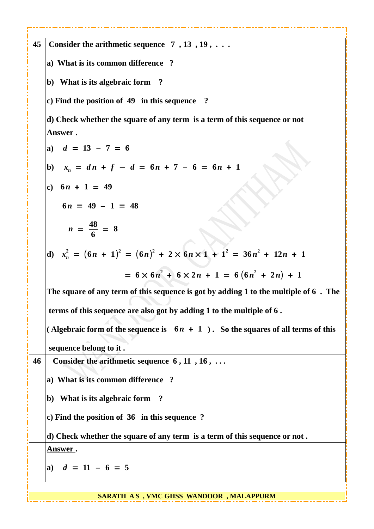| 45 | Consider the arithmetic sequence $7, 13, 19, \ldots$                                 |
|----|--------------------------------------------------------------------------------------|
|    | a) What is its common difference ?                                                   |
|    | b) What is its algebraic form ?                                                      |
|    | c) Find the position of 49 in this sequence ?                                        |
|    | d) Check whether the square of any term is a term of this sequence or not            |
|    | <u>Answer</u> .                                                                      |
|    | a) $d = 13 - 7 = 6$                                                                  |
|    | b) $x_n = dn + f - d = 6n + 7 - 6 = 6n + 1$                                          |
|    | c) $6n + 1 = 49$                                                                     |
|    | $6n = 49 - 1 = 48$                                                                   |
|    | $n = \frac{48}{6} = 8$                                                               |
|    | d) $x_n^2 = (6n + 1)^2 = (6n)^2 + 2 \times 6n \times 1 + 1^2 = 36n^2 + 12n + 1$      |
|    | $= 6 \times 6n^2 + 6 \times 2n + 1 = 6(6n^2 + 2n) + 1$                               |
|    | The square of any term of this sequence is got by adding 1 to the multiple of 6. The |
|    | terms of this sequence are also got by adding 1 to the multiple of 6.                |
|    | (Algebraic form of the sequence is $6n + 1$ ). So the squares of all terms of this   |
|    | sequence belong to it.                                                               |
| 46 | Consider the arithmetic sequence $6, 11, 16, \ldots$                                 |
|    | a) What is its common difference ?                                                   |
|    | b) What is its algebraic form ?                                                      |
|    | c) Find the position of 36 in this sequence ?                                        |
|    | d) Check whether the square of any term is a term of this sequence or not.           |
|    | <u>Answer</u> .                                                                      |
|    | a) $d = 11 - 6 = 5$                                                                  |
|    |                                                                                      |

**SARATH A S , VMC GHSS WANDOOR , MALAPPURM**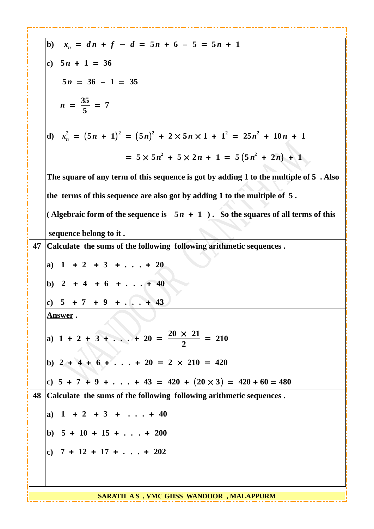|    | b) $x_n = dn + f - d = 5n + 6 - 5 = 5n + 1$                                           |
|----|---------------------------------------------------------------------------------------|
|    | c) $5n + 1 = 36$                                                                      |
|    | $5n = 36 - 1 = 35$                                                                    |
|    | $n = \frac{35}{5} = 7$                                                                |
|    | d) $x_n^2 = (5n + 1)^2 = (5n)^2 + 2 \times 5n \times 1 + 1^2 = 25n^2 + 10n + 1$       |
|    | $= 5 \times 5n^2 + 5 \times 2n + 1 = 5(5n^2 + 2n) + 1$                                |
|    | The square of any term of this sequence is got by adding 1 to the multiple of 5. Also |
|    | the terms of this sequence are also got by adding 1 to the multiple of 5.             |
|    | (Algebraic form of the sequence is $5n + 1$ ). So the squares of all terms of this    |
|    | sequence belong to it.                                                                |
| 47 | Calculate the sums of the following following arithmetic sequences.                   |
|    | a) $1 + 2 + 3 + \ldots + 20$                                                          |
|    | b) $2 + 4 + 6 + \ldots + 40$                                                          |
|    | c) $5 + 7 + 9 + \ldots + 43$                                                          |
|    | <u>Answer</u> .                                                                       |
|    | a) $1 + 2 + 3 +  + 20 = \frac{20 \times 21}{2} = 210$                                 |
|    | b) $2 + 4 + 6 +  + 20 = 2 \times 210 = 420$                                           |
|    | c) $5 + 7 + 9 +  + 43 = 420 + (20 \times 3) = 420 + 60 = 480$                         |
| 48 | Calculate the sums of the following following arithmetic sequences.                   |
|    | a) $1 + 2 + 3 +  + 40$                                                                |
|    | b) $5 + 10 + 15 + \ldots + 200$                                                       |
|    | c) $7 + 12 + 17 + \ldots + 202$                                                       |
|    |                                                                                       |
|    |                                                                                       |
|    | <b>SARATH AS, VMC GHSS WANDOOR, MALAPPURM</b>                                         |

.... .,, 1